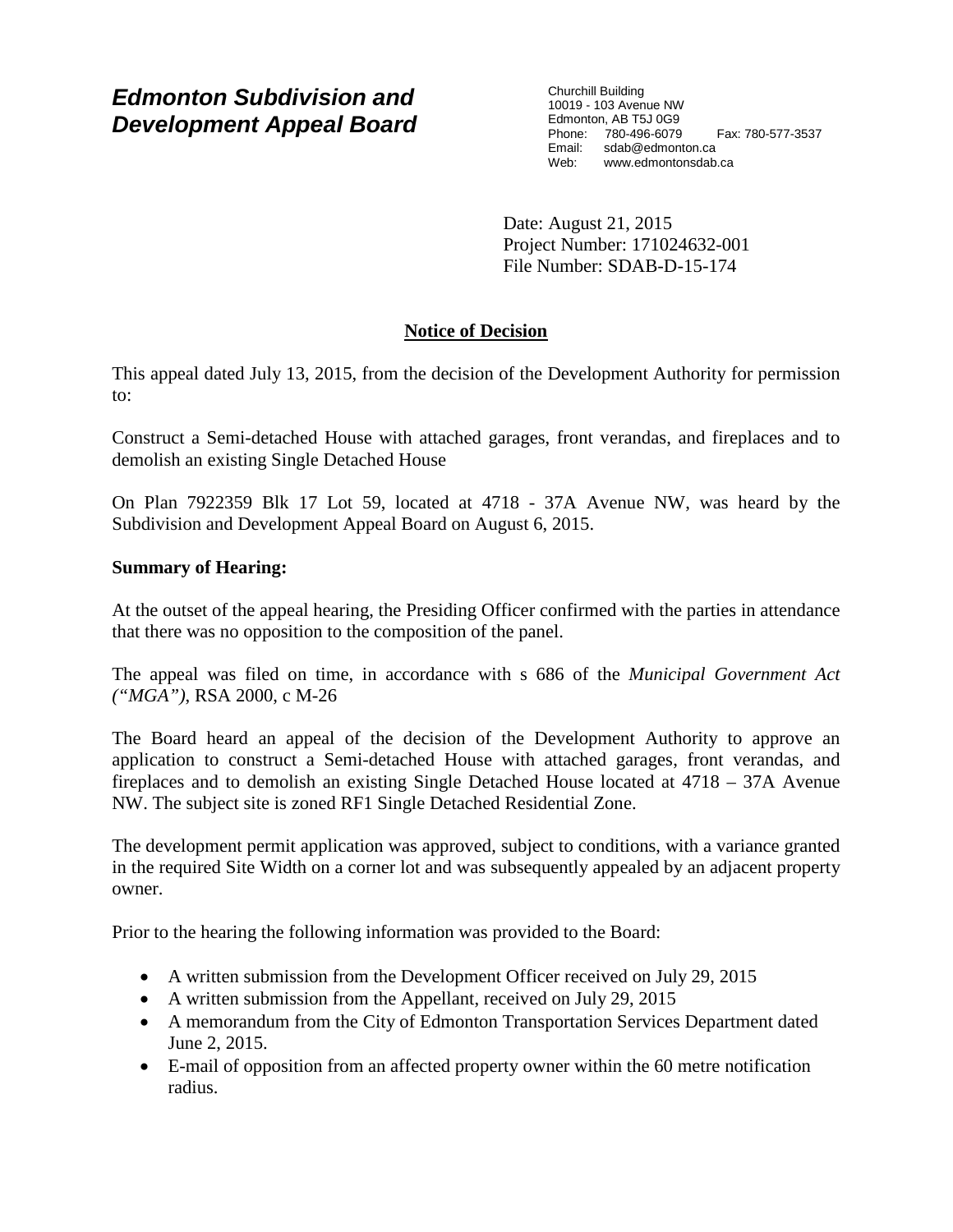# *Edmonton Subdivision and Development Appeal Board*

Churchill Building 10019 - 103 Avenue NW Edmonton, AB T5J 0G9 Phone: 780-496-6079 Fax: 780-577-3537 Email: sdab@edmonton.ca<br>Web: www.edmonton.ca Web: www.edmontonsdab.ca

Date: August 21, 2015 Project Number: 171024632-001 File Number: SDAB-D-15-174

## **Notice of Decision**

This appeal dated July 13, 2015, from the decision of the Development Authority for permission to:

Construct a Semi-detached House with attached garages, front verandas, and fireplaces and to demolish an existing Single Detached House

On Plan 7922359 Blk 17 Lot 59, located at 4718 - 37A Avenue NW, was heard by the Subdivision and Development Appeal Board on August 6, 2015.

## **Summary of Hearing:**

At the outset of the appeal hearing, the Presiding Officer confirmed with the parties in attendance that there was no opposition to the composition of the panel.

The appeal was filed on time, in accordance with s 686 of the *Municipal Government Act ("MGA")*, RSA 2000, c M-26

The Board heard an appeal of the decision of the Development Authority to approve an application to construct a Semi-detached House with attached garages, front verandas, and fireplaces and to demolish an existing Single Detached House located at 4718 – 37A Avenue NW. The subject site is zoned RF1 Single Detached Residential Zone.

The development permit application was approved, subject to conditions, with a variance granted in the required Site Width on a corner lot and was subsequently appealed by an adjacent property owner.

Prior to the hearing the following information was provided to the Board:

- A written submission from the Development Officer received on July 29, 2015
- A written submission from the Appellant, received on July 29, 2015
- A memorandum from the City of Edmonton Transportation Services Department dated June 2, 2015.
- E-mail of opposition from an affected property owner within the 60 metre notification radius.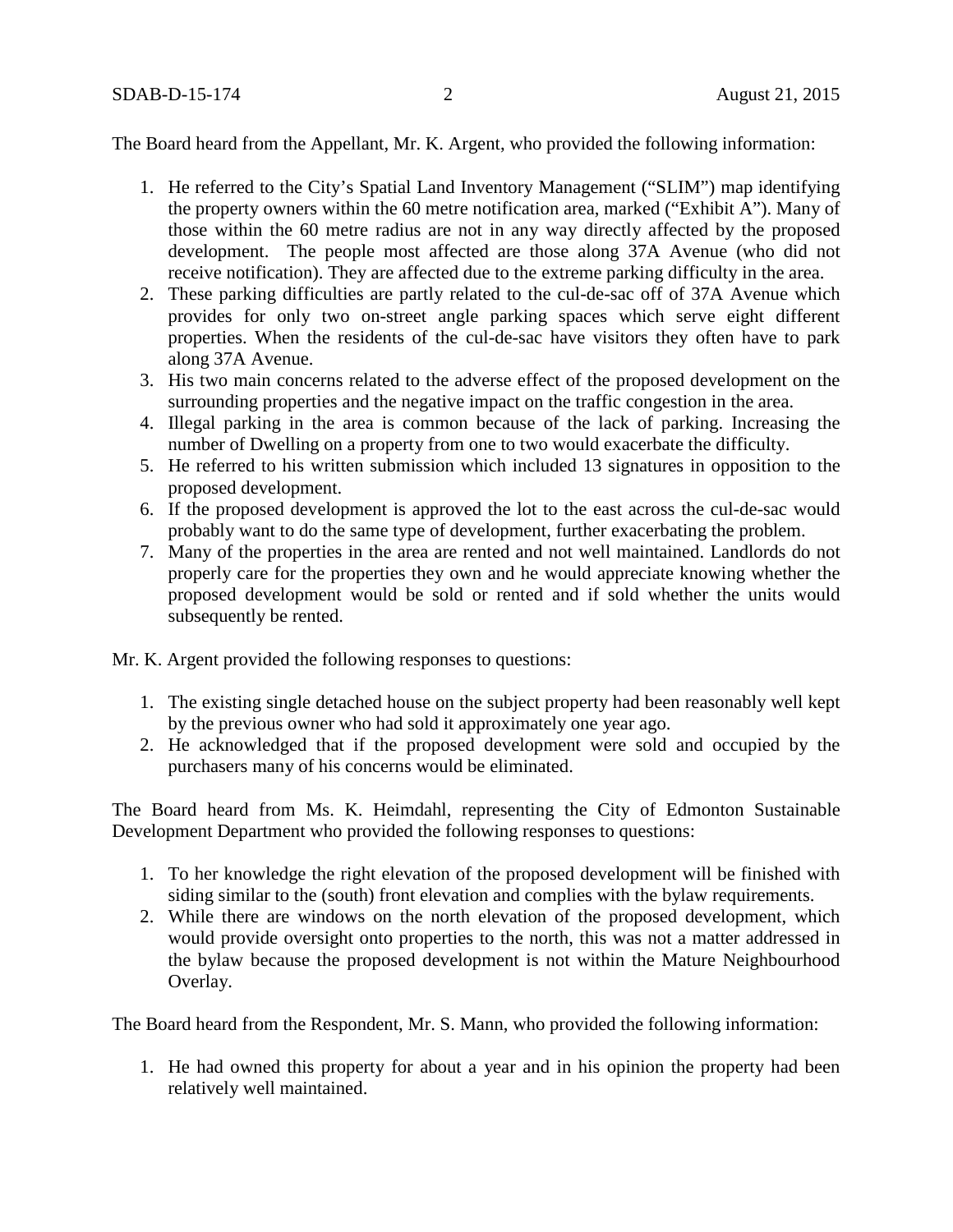The Board heard from the Appellant, Mr. K. Argent, who provided the following information:

- 1. He referred to the City's Spatial Land Inventory Management ("SLIM") map identifying the property owners within the 60 metre notification area, marked ("Exhibit A"). Many of those within the 60 metre radius are not in any way directly affected by the proposed development. The people most affected are those along 37A Avenue (who did not receive notification). They are affected due to the extreme parking difficulty in the area.
- 2. These parking difficulties are partly related to the cul-de-sac off of 37A Avenue which provides for only two on-street angle parking spaces which serve eight different properties. When the residents of the cul-de-sac have visitors they often have to park along 37A Avenue.
- 3. His two main concerns related to the adverse effect of the proposed development on the surrounding properties and the negative impact on the traffic congestion in the area.
- 4. Illegal parking in the area is common because of the lack of parking. Increasing the number of Dwelling on a property from one to two would exacerbate the difficulty.
- 5. He referred to his written submission which included 13 signatures in opposition to the proposed development.
- 6. If the proposed development is approved the lot to the east across the cul-de-sac would probably want to do the same type of development, further exacerbating the problem.
- 7. Many of the properties in the area are rented and not well maintained. Landlords do not properly care for the properties they own and he would appreciate knowing whether the proposed development would be sold or rented and if sold whether the units would subsequently be rented.

Mr. K. Argent provided the following responses to questions:

- 1. The existing single detached house on the subject property had been reasonably well kept by the previous owner who had sold it approximately one year ago.
- 2. He acknowledged that if the proposed development were sold and occupied by the purchasers many of his concerns would be eliminated.

The Board heard from Ms. K. Heimdahl, representing the City of Edmonton Sustainable Development Department who provided the following responses to questions:

- 1. To her knowledge the right elevation of the proposed development will be finished with siding similar to the (south) front elevation and complies with the bylaw requirements.
- 2. While there are windows on the north elevation of the proposed development, which would provide oversight onto properties to the north, this was not a matter addressed in the bylaw because the proposed development is not within the Mature Neighbourhood Overlay.

The Board heard from the Respondent, Mr. S. Mann, who provided the following information:

1. He had owned this property for about a year and in his opinion the property had been relatively well maintained.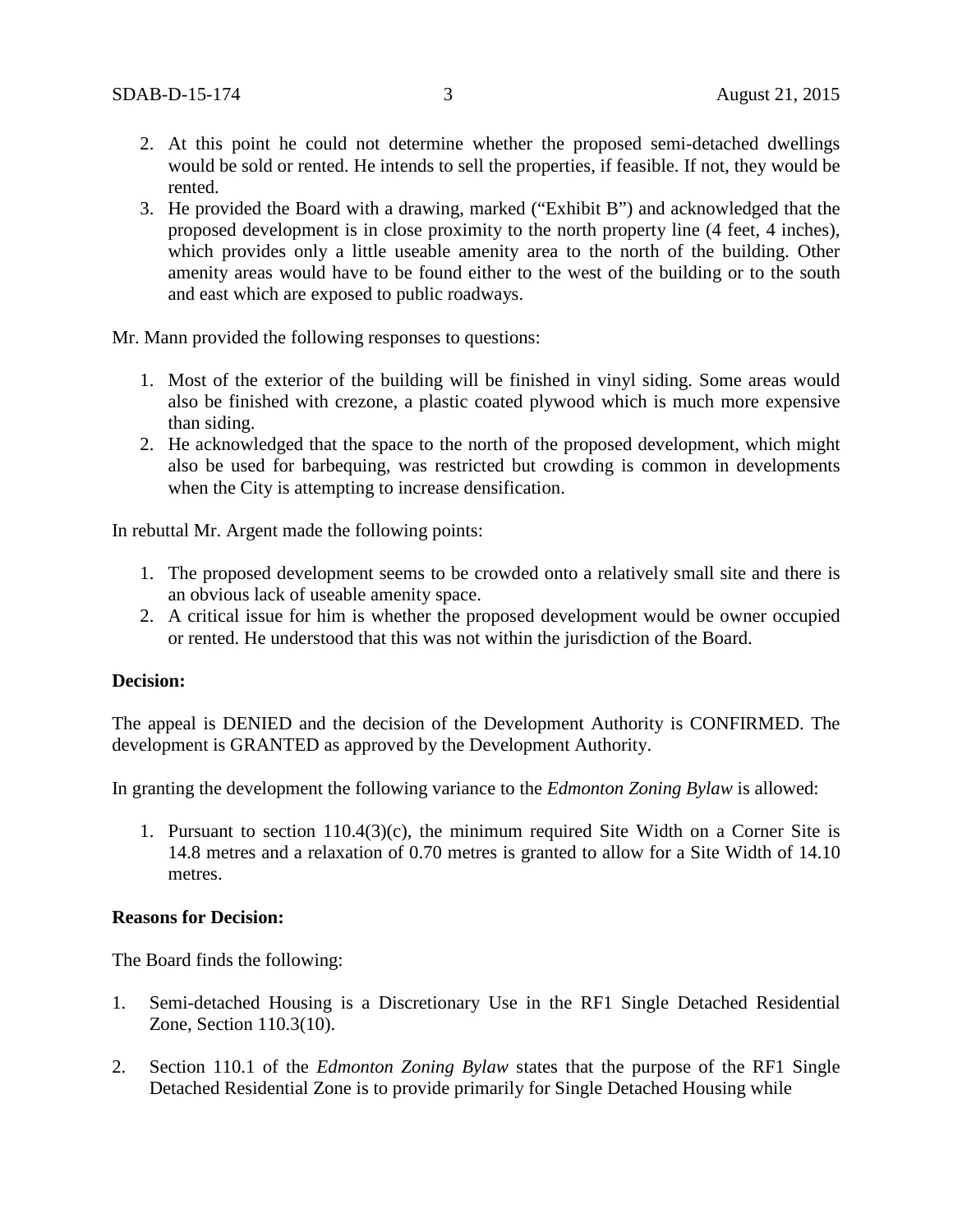- 2. At this point he could not determine whether the proposed semi-detached dwellings would be sold or rented. He intends to sell the properties, if feasible. If not, they would be rented.
- 3. He provided the Board with a drawing, marked ("Exhibit B") and acknowledged that the proposed development is in close proximity to the north property line (4 feet, 4 inches), which provides only a little useable amenity area to the north of the building. Other amenity areas would have to be found either to the west of the building or to the south and east which are exposed to public roadways.

Mr. Mann provided the following responses to questions:

- 1. Most of the exterior of the building will be finished in vinyl siding. Some areas would also be finished with crezone, a plastic coated plywood which is much more expensive than siding.
- 2. He acknowledged that the space to the north of the proposed development, which might also be used for barbequing, was restricted but crowding is common in developments when the City is attempting to increase densification.

In rebuttal Mr. Argent made the following points:

- 1. The proposed development seems to be crowded onto a relatively small site and there is an obvious lack of useable amenity space.
- 2. A critical issue for him is whether the proposed development would be owner occupied or rented. He understood that this was not within the jurisdiction of the Board.

### **Decision:**

The appeal is DENIED and the decision of the Development Authority is CONFIRMED. The development is GRANTED as approved by the Development Authority.

In granting the development the following variance to the *Edmonton Zoning Bylaw* is allowed:

1. Pursuant to section 110.4(3)(c), the minimum required Site Width on a Corner Site is 14.8 metres and a relaxation of 0.70 metres is granted to allow for a Site Width of 14.10 metres.

### **Reasons for Decision:**

The Board finds the following:

- 1. Semi-detached Housing is a Discretionary Use in the RF1 Single Detached Residential Zone, Section 110.3(10).
- 2. Section 110.1 of the *Edmonton Zoning Bylaw* states that the purpose of the RF1 Single Detached Residential Zone is to provide primarily for Single Detached Housing while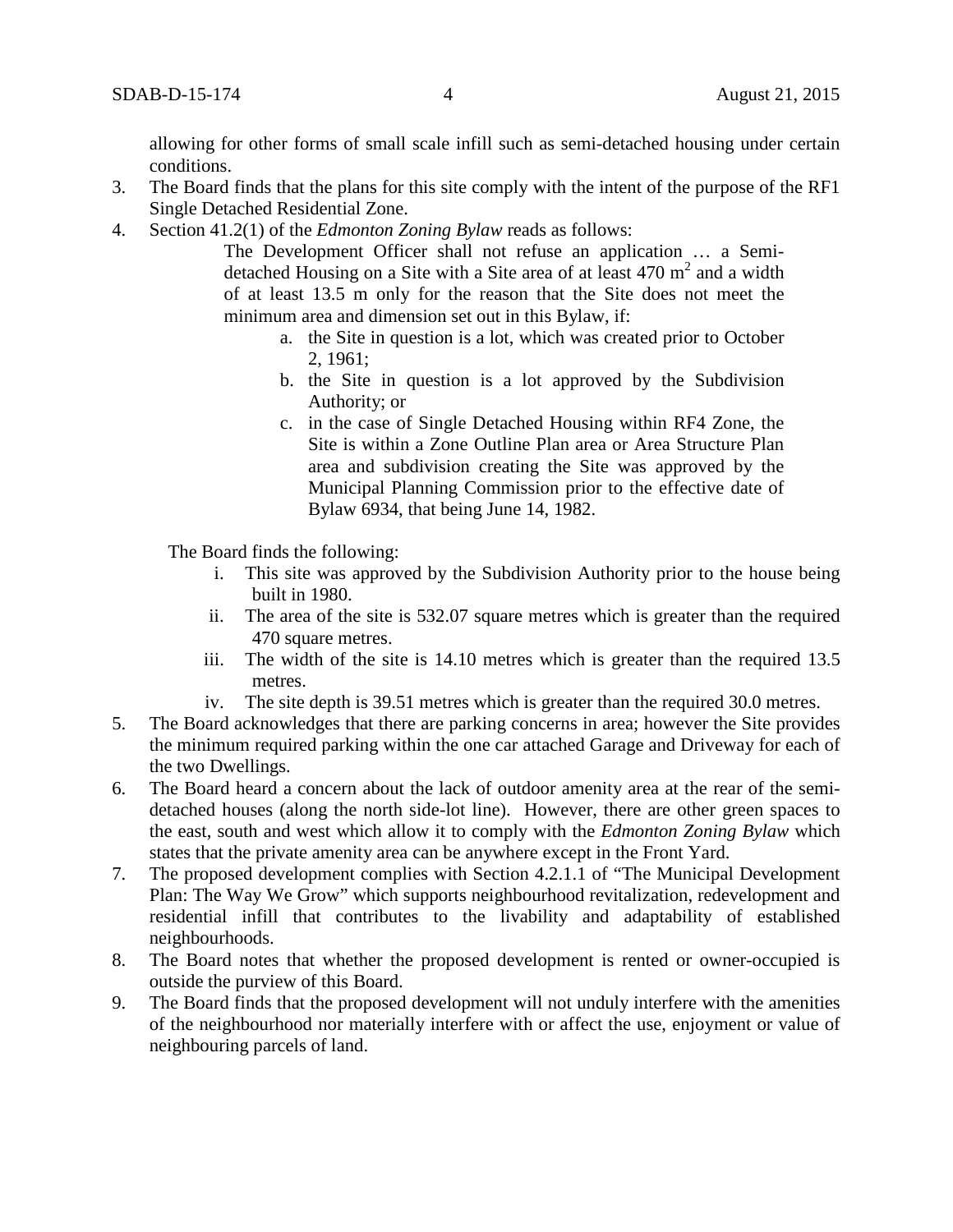allowing for other forms of small scale infill such as semi-detached housing under certain conditions.

- 3. The Board finds that the plans for this site comply with the intent of the purpose of the RF1 Single Detached Residential Zone.
- 4. Section 41.2(1) of the *Edmonton Zoning Bylaw* reads as follows:

The Development Officer shall not refuse an application … a Semidetached Housing on a Site with a Site area of at least  $470 \text{ m}^2$  and a width of at least 13.5 m only for the reason that the Site does not meet the minimum area and dimension set out in this Bylaw, if:

- a. the Site in question is a lot, which was created prior to October 2, 1961;
- b. the Site in question is a lot approved by the Subdivision Authority; or
- c. in the case of Single Detached Housing within RF4 Zone, the Site is within a Zone Outline Plan area or Area Structure Plan area and subdivision creating the Site was approved by the Municipal Planning Commission prior to the effective date of Bylaw 6934, that being June 14, 1982.

The Board finds the following:

- i. This site was approved by the Subdivision Authority prior to the house being built in 1980.
- ii. The area of the site is 532.07 square metres which is greater than the required 470 square metres.
- iii. The width of the site is 14.10 metres which is greater than the required 13.5 metres.
- iv. The site depth is 39.51 metres which is greater than the required 30.0 metres.
- 5. The Board acknowledges that there are parking concerns in area; however the Site provides the minimum required parking within the one car attached Garage and Driveway for each of the two Dwellings.
- 6. The Board heard a concern about the lack of outdoor amenity area at the rear of the semidetached houses (along the north side-lot line). However, there are other green spaces to the east, south and west which allow it to comply with the *Edmonton Zoning Bylaw* which states that the private amenity area can be anywhere except in the Front Yard.
- 7. The proposed development complies with Section 4.2.1.1 of "The Municipal Development Plan: The Way We Grow" which supports neighbourhood revitalization, redevelopment and residential infill that contributes to the livability and adaptability of established neighbourhoods.
- 8. The Board notes that whether the proposed development is rented or owner-occupied is outside the purview of this Board.
- 9. The Board finds that the proposed development will not unduly interfere with the amenities of the neighbourhood nor materially interfere with or affect the use, enjoyment or value of neighbouring parcels of land.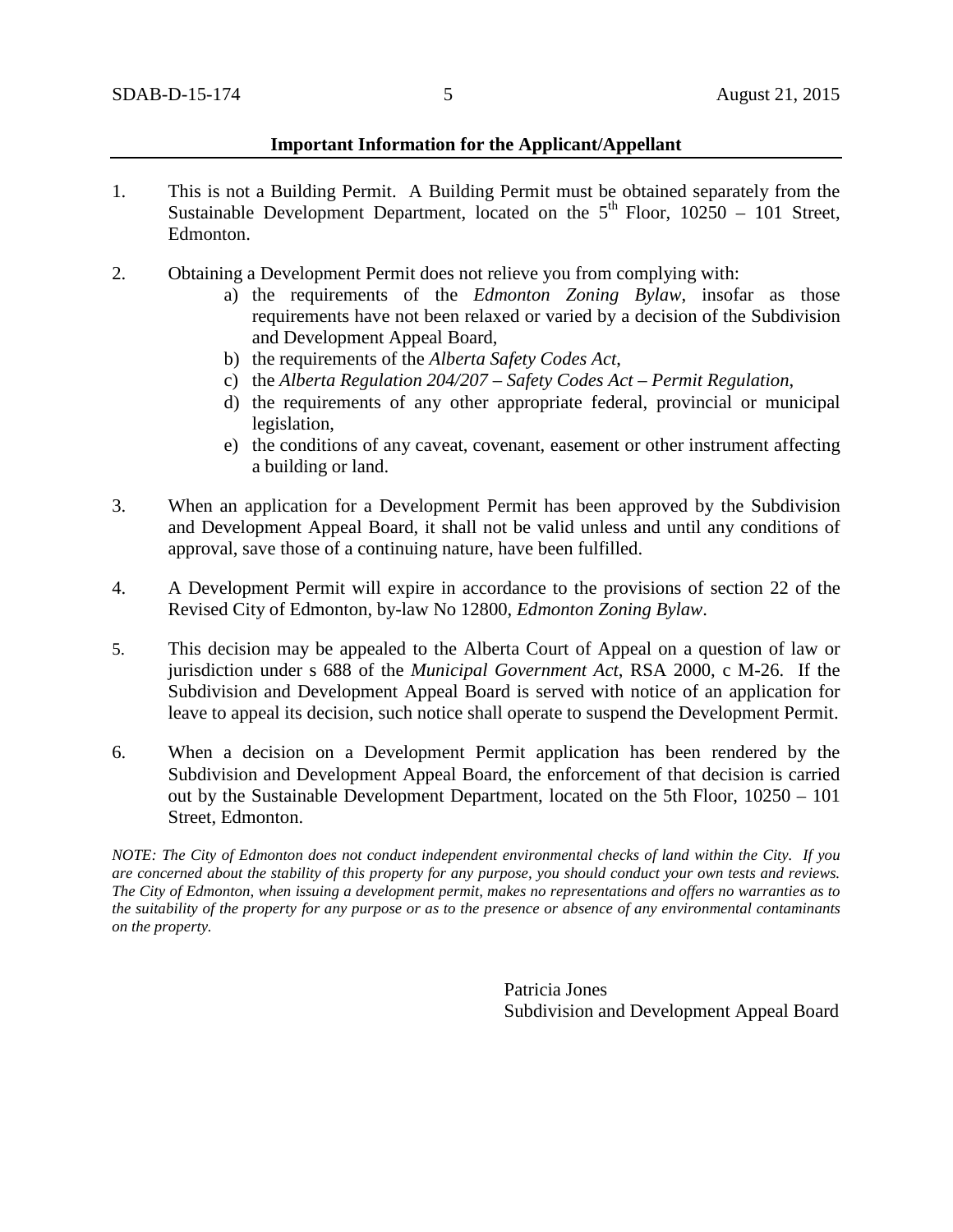#### **Important Information for the Applicant/Appellant**

- 1. This is not a Building Permit. A Building Permit must be obtained separately from the Sustainable Development Department, located on the  $5<sup>th</sup>$  Floor, 10250 – 101 Street, Edmonton.
- 2. Obtaining a Development Permit does not relieve you from complying with:
	- a) the requirements of the *Edmonton Zoning Bylaw*, insofar as those requirements have not been relaxed or varied by a decision of the Subdivision and Development Appeal Board,
	- b) the requirements of the *Alberta Safety Codes Act*,
	- c) the *Alberta Regulation 204/207 – Safety Codes Act – Permit Regulation*,
	- d) the requirements of any other appropriate federal, provincial or municipal legislation,
	- e) the conditions of any caveat, covenant, easement or other instrument affecting a building or land.
- 3. When an application for a Development Permit has been approved by the Subdivision and Development Appeal Board, it shall not be valid unless and until any conditions of approval, save those of a continuing nature, have been fulfilled.
- 4. A Development Permit will expire in accordance to the provisions of section 22 of the Revised City of Edmonton, by-law No 12800, *Edmonton Zoning Bylaw*.
- 5. This decision may be appealed to the Alberta Court of Appeal on a question of law or jurisdiction under s 688 of the *Municipal Government Act*, RSA 2000, c M-26. If the Subdivision and Development Appeal Board is served with notice of an application for leave to appeal its decision, such notice shall operate to suspend the Development Permit.
- 6. When a decision on a Development Permit application has been rendered by the Subdivision and Development Appeal Board, the enforcement of that decision is carried out by the Sustainable Development Department, located on the 5th Floor, 10250 – 101 Street, Edmonton.

*NOTE: The City of Edmonton does not conduct independent environmental checks of land within the City. If you are concerned about the stability of this property for any purpose, you should conduct your own tests and reviews. The City of Edmonton, when issuing a development permit, makes no representations and offers no warranties as to the suitability of the property for any purpose or as to the presence or absence of any environmental contaminants on the property.*

> Patricia Jones Subdivision and Development Appeal Board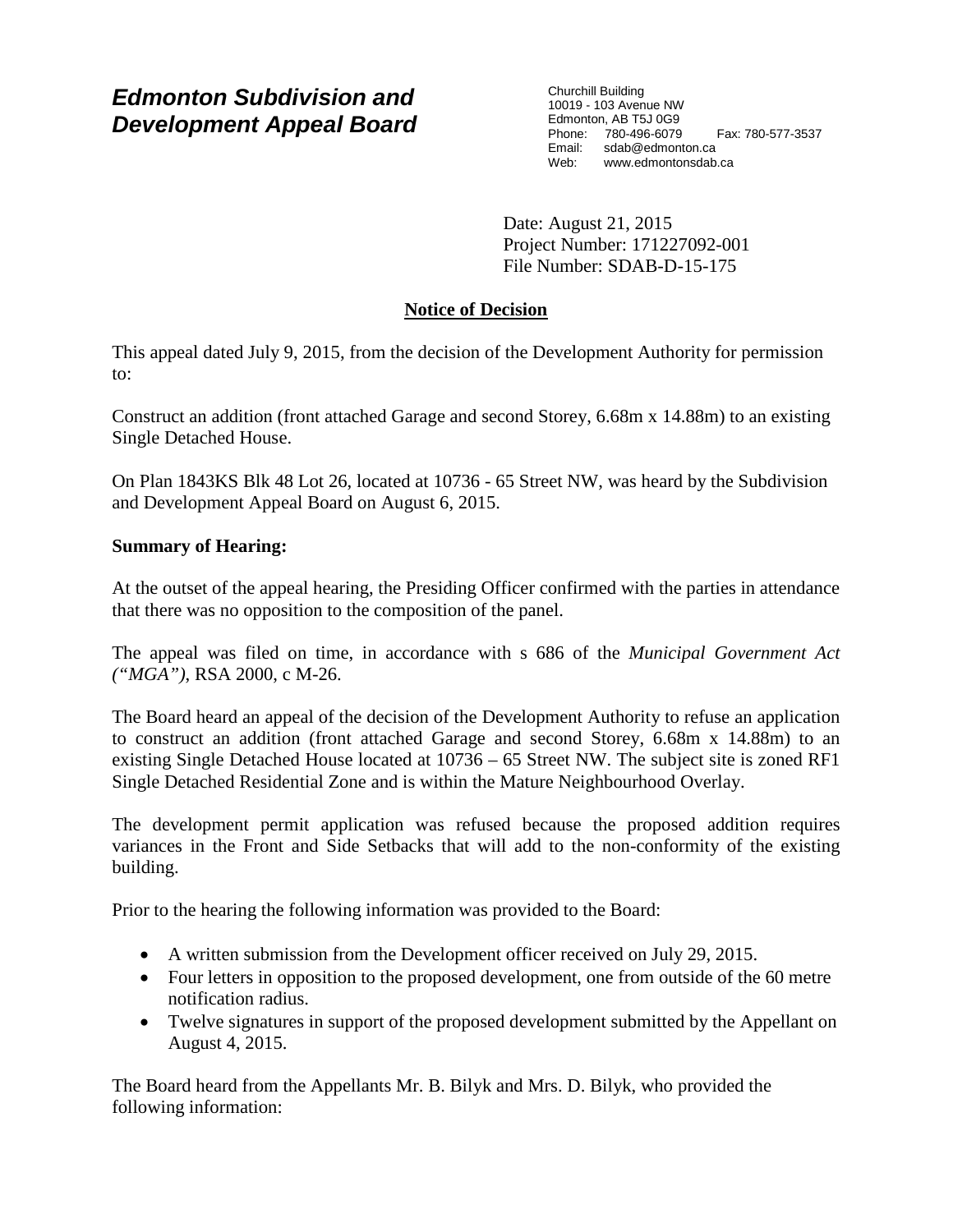# *Edmonton Subdivision and Development Appeal Board*

Churchill Building 10019 - 103 Avenue NW Edmonton, AB T5J 0G9 Phone: 780-496-6079 Fax: 780-577-3537 Email: sdab@edmonton.ca Web: www.edmontonsdab.ca

Date: August 21, 2015 Project Number: 171227092-001 File Number: SDAB-D-15-175

## **Notice of Decision**

This appeal dated July 9, 2015, from the decision of the Development Authority for permission to:

Construct an addition (front attached Garage and second Storey, 6.68m x 14.88m) to an existing Single Detached House.

On Plan 1843KS Blk 48 Lot 26, located at 10736 - 65 Street NW, was heard by the Subdivision and Development Appeal Board on August 6, 2015.

## **Summary of Hearing:**

At the outset of the appeal hearing, the Presiding Officer confirmed with the parties in attendance that there was no opposition to the composition of the panel.

The appeal was filed on time, in accordance with s 686 of the *Municipal Government Act ("MGA")*, RSA 2000, c M-26.

The Board heard an appeal of the decision of the Development Authority to refuse an application to construct an addition (front attached Garage and second Storey, 6.68m x 14.88m) to an existing Single Detached House located at 10736 – 65 Street NW. The subject site is zoned RF1 Single Detached Residential Zone and is within the Mature Neighbourhood Overlay.

The development permit application was refused because the proposed addition requires variances in the Front and Side Setbacks that will add to the non-conformity of the existing building.

Prior to the hearing the following information was provided to the Board:

- A written submission from the Development officer received on July 29, 2015.
- Four letters in opposition to the proposed development, one from outside of the 60 metre notification radius.
- Twelve signatures in support of the proposed development submitted by the Appellant on August 4, 2015.

The Board heard from the Appellants Mr. B. Bilyk and Mrs. D. Bilyk, who provided the following information: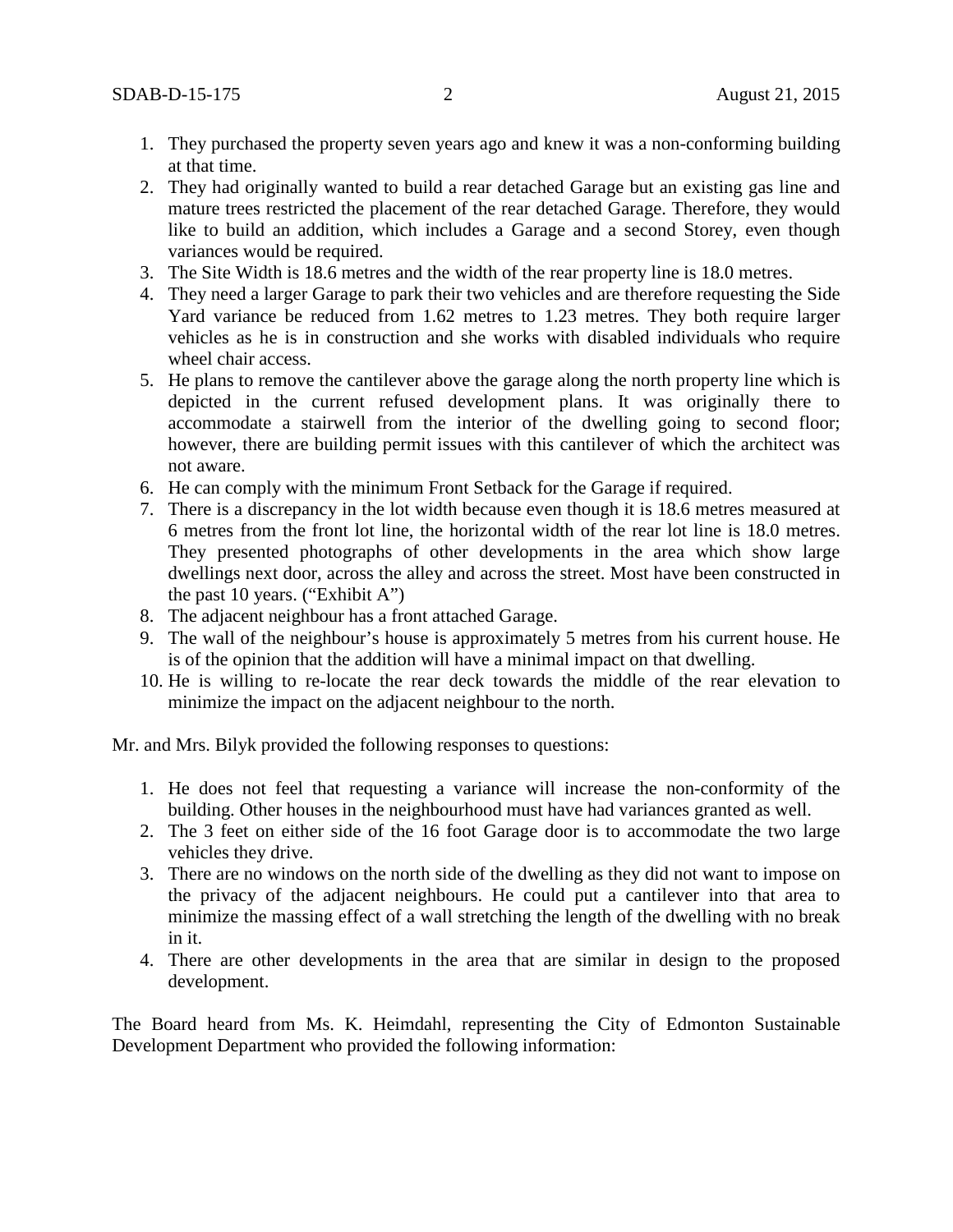- 1. They purchased the property seven years ago and knew it was a non-conforming building at that time.
- 2. They had originally wanted to build a rear detached Garage but an existing gas line and mature trees restricted the placement of the rear detached Garage. Therefore, they would like to build an addition, which includes a Garage and a second Storey, even though variances would be required.
- 3. The Site Width is 18.6 metres and the width of the rear property line is 18.0 metres.
- 4. They need a larger Garage to park their two vehicles and are therefore requesting the Side Yard variance be reduced from 1.62 metres to 1.23 metres. They both require larger vehicles as he is in construction and she works with disabled individuals who require wheel chair access.
- 5. He plans to remove the cantilever above the garage along the north property line which is depicted in the current refused development plans. It was originally there to accommodate a stairwell from the interior of the dwelling going to second floor; however, there are building permit issues with this cantilever of which the architect was not aware.
- 6. He can comply with the minimum Front Setback for the Garage if required.
- 7. There is a discrepancy in the lot width because even though it is 18.6 metres measured at 6 metres from the front lot line, the horizontal width of the rear lot line is 18.0 metres. They presented photographs of other developments in the area which show large dwellings next door, across the alley and across the street. Most have been constructed in the past 10 years. ("Exhibit A")
- 8. The adjacent neighbour has a front attached Garage.
- 9. The wall of the neighbour's house is approximately 5 metres from his current house. He is of the opinion that the addition will have a minimal impact on that dwelling.
- 10. He is willing to re-locate the rear deck towards the middle of the rear elevation to minimize the impact on the adjacent neighbour to the north.

Mr. and Mrs. Bilyk provided the following responses to questions:

- 1. He does not feel that requesting a variance will increase the non-conformity of the building. Other houses in the neighbourhood must have had variances granted as well.
- 2. The 3 feet on either side of the 16 foot Garage door is to accommodate the two large vehicles they drive.
- 3. There are no windows on the north side of the dwelling as they did not want to impose on the privacy of the adjacent neighbours. He could put a cantilever into that area to minimize the massing effect of a wall stretching the length of the dwelling with no break in it.
- 4. There are other developments in the area that are similar in design to the proposed development.

The Board heard from Ms. K. Heimdahl, representing the City of Edmonton Sustainable Development Department who provided the following information: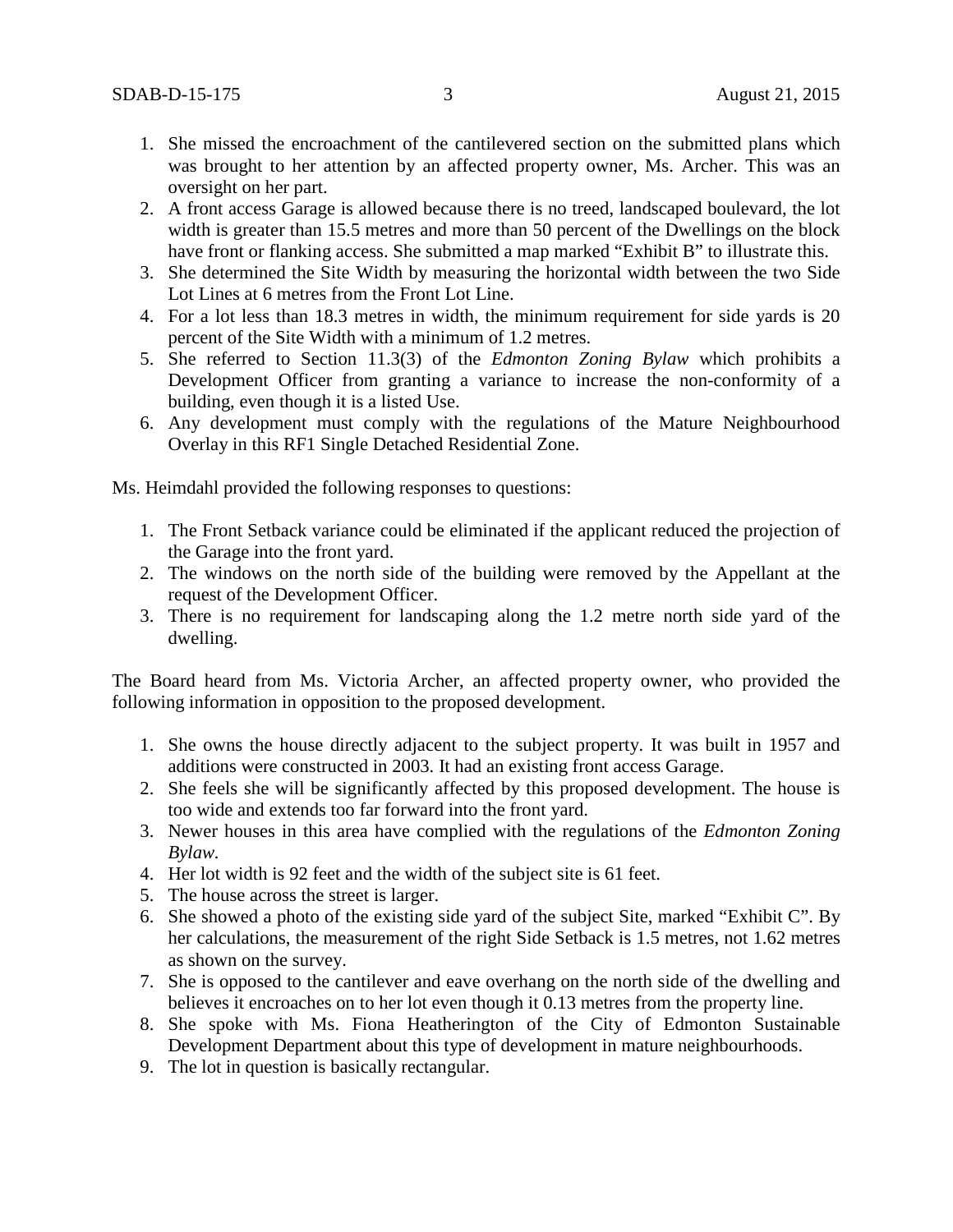- 1. She missed the encroachment of the cantilevered section on the submitted plans which was brought to her attention by an affected property owner, Ms. Archer. This was an oversight on her part.
- 2. A front access Garage is allowed because there is no treed, landscaped boulevard, the lot width is greater than 15.5 metres and more than 50 percent of the Dwellings on the block have front or flanking access. She submitted a map marked "Exhibit B" to illustrate this.
- 3. She determined the Site Width by measuring the horizontal width between the two Side Lot Lines at 6 metres from the Front Lot Line.
- 4. For a lot less than 18.3 metres in width, the minimum requirement for side yards is 20 percent of the Site Width with a minimum of 1.2 metres.
- 5. She referred to Section 11.3(3) of the *Edmonton Zoning Bylaw* which prohibits a Development Officer from granting a variance to increase the non-conformity of a building, even though it is a listed Use.
- 6. Any development must comply with the regulations of the Mature Neighbourhood Overlay in this RF1 Single Detached Residential Zone.

Ms. Heimdahl provided the following responses to questions:

- 1. The Front Setback variance could be eliminated if the applicant reduced the projection of the Garage into the front yard.
- 2. The windows on the north side of the building were removed by the Appellant at the request of the Development Officer.
- 3. There is no requirement for landscaping along the 1.2 metre north side yard of the dwelling.

The Board heard from Ms. Victoria Archer, an affected property owner, who provided the following information in opposition to the proposed development.

- 1. She owns the house directly adjacent to the subject property. It was built in 1957 and additions were constructed in 2003. It had an existing front access Garage.
- 2. She feels she will be significantly affected by this proposed development. The house is too wide and extends too far forward into the front yard.
- 3. Newer houses in this area have complied with the regulations of the *Edmonton Zoning Bylaw.*
- 4. Her lot width is 92 feet and the width of the subject site is 61 feet.
- 5. The house across the street is larger.
- 6. She showed a photo of the existing side yard of the subject Site, marked "Exhibit C". By her calculations, the measurement of the right Side Setback is 1.5 metres, not 1.62 metres as shown on the survey.
- 7. She is opposed to the cantilever and eave overhang on the north side of the dwelling and believes it encroaches on to her lot even though it 0.13 metres from the property line.
- 8. She spoke with Ms. Fiona Heatherington of the City of Edmonton Sustainable Development Department about this type of development in mature neighbourhoods.
- 9. The lot in question is basically rectangular.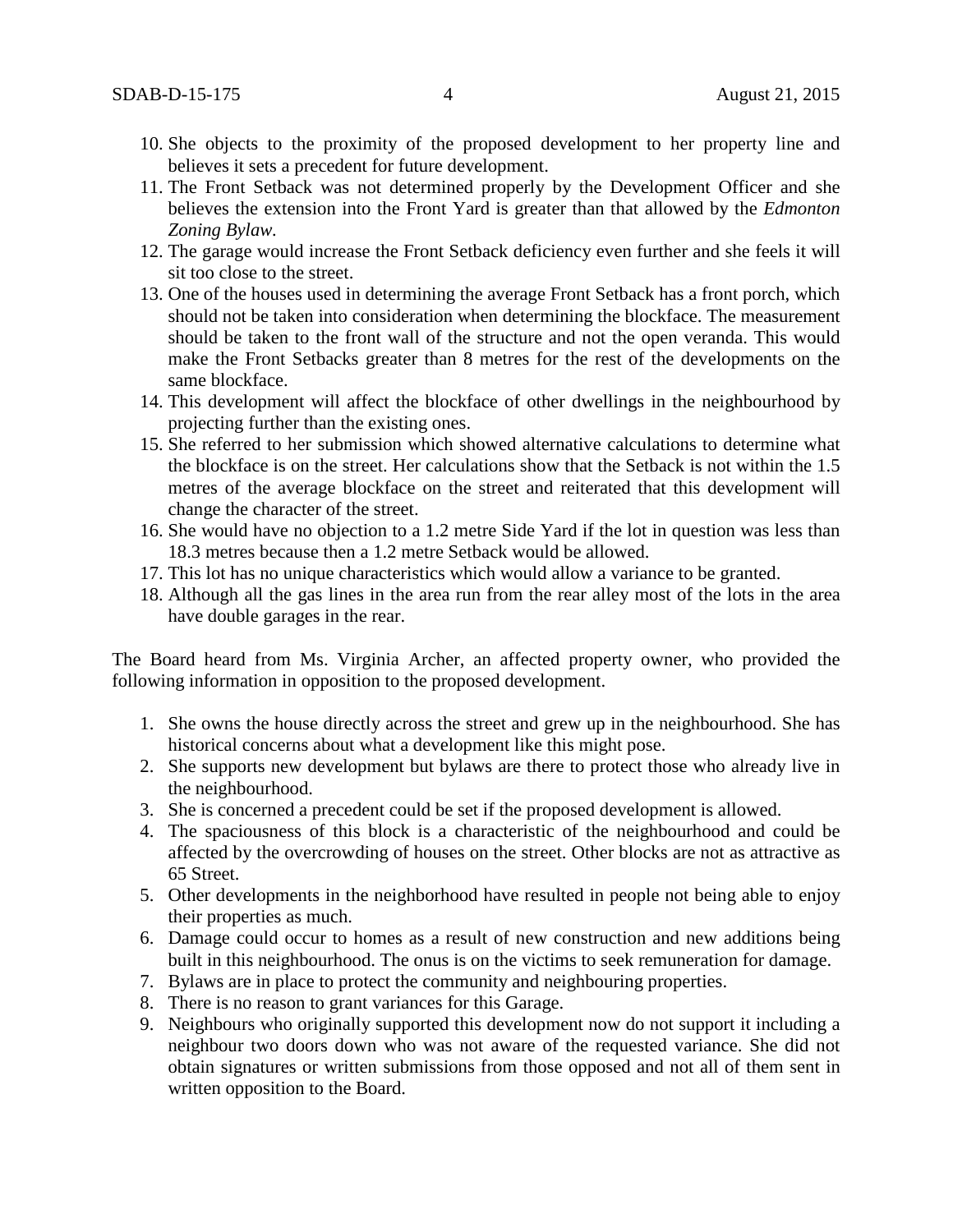- 10. She objects to the proximity of the proposed development to her property line and believes it sets a precedent for future development.
- 11. The Front Setback was not determined properly by the Development Officer and she believes the extension into the Front Yard is greater than that allowed by the *Edmonton Zoning Bylaw.*
- 12. The garage would increase the Front Setback deficiency even further and she feels it will sit too close to the street.
- 13. One of the houses used in determining the average Front Setback has a front porch, which should not be taken into consideration when determining the blockface. The measurement should be taken to the front wall of the structure and not the open veranda. This would make the Front Setbacks greater than 8 metres for the rest of the developments on the same blockface.
- 14. This development will affect the blockface of other dwellings in the neighbourhood by projecting further than the existing ones.
- 15. She referred to her submission which showed alternative calculations to determine what the blockface is on the street. Her calculations show that the Setback is not within the 1.5 metres of the average blockface on the street and reiterated that this development will change the character of the street.
- 16. She would have no objection to a 1.2 metre Side Yard if the lot in question was less than 18.3 metres because then a 1.2 metre Setback would be allowed.
- 17. This lot has no unique characteristics which would allow a variance to be granted.
- 18. Although all the gas lines in the area run from the rear alley most of the lots in the area have double garages in the rear.

The Board heard from Ms. Virginia Archer, an affected property owner, who provided the following information in opposition to the proposed development.

- 1. She owns the house directly across the street and grew up in the neighbourhood. She has historical concerns about what a development like this might pose.
- 2. She supports new development but bylaws are there to protect those who already live in the neighbourhood.
- 3. She is concerned a precedent could be set if the proposed development is allowed.
- 4. The spaciousness of this block is a characteristic of the neighbourhood and could be affected by the overcrowding of houses on the street. Other blocks are not as attractive as 65 Street.
- 5. Other developments in the neighborhood have resulted in people not being able to enjoy their properties as much.
- 6. Damage could occur to homes as a result of new construction and new additions being built in this neighbourhood. The onus is on the victims to seek remuneration for damage.
- 7. Bylaws are in place to protect the community and neighbouring properties.
- 8. There is no reason to grant variances for this Garage.
- 9. Neighbours who originally supported this development now do not support it including a neighbour two doors down who was not aware of the requested variance. She did not obtain signatures or written submissions from those opposed and not all of them sent in written opposition to the Board.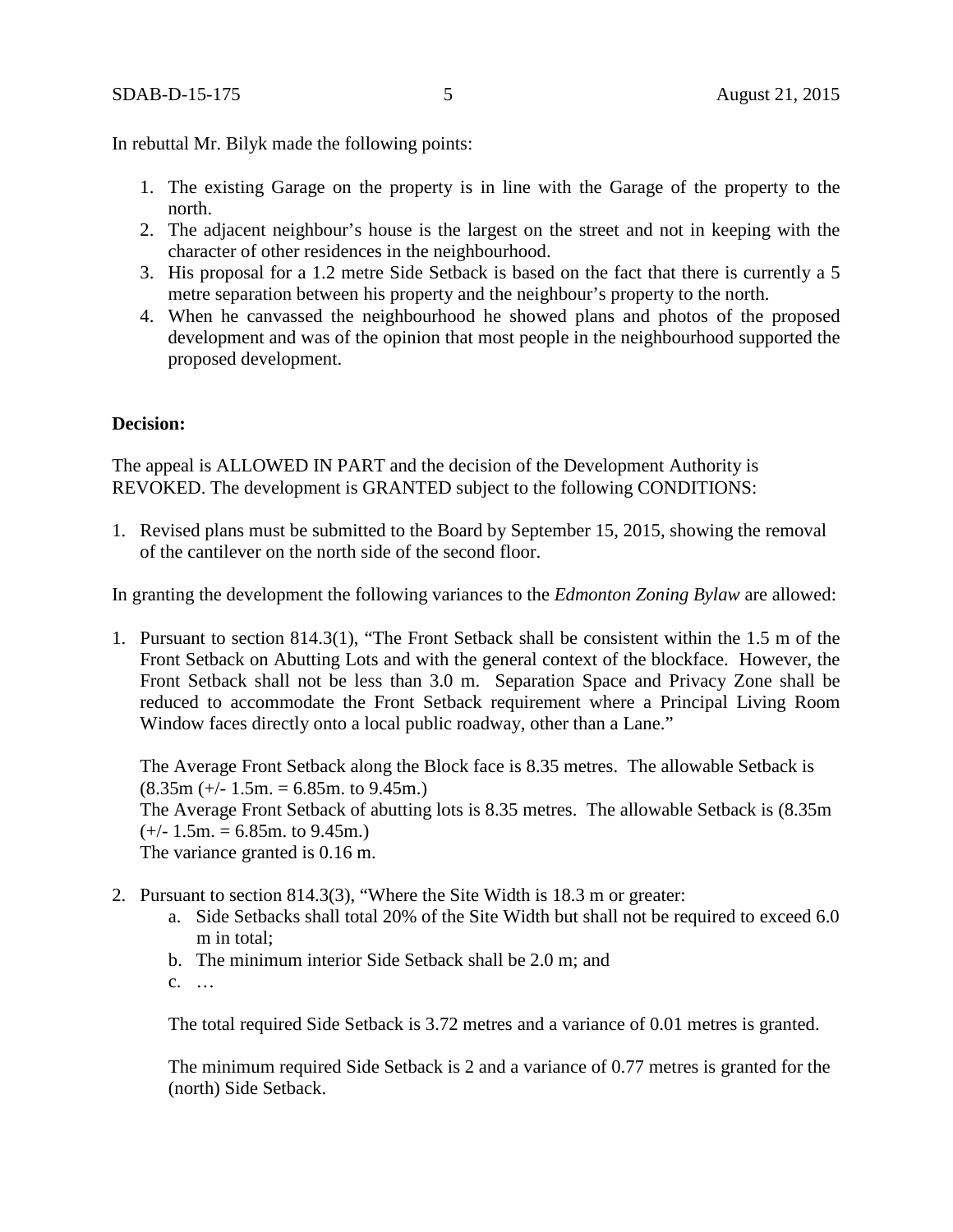In rebuttal Mr. Bilyk made the following points:

- 1. The existing Garage on the property is in line with the Garage of the property to the north.
- 2. The adjacent neighbour's house is the largest on the street and not in keeping with the character of other residences in the neighbourhood.
- 3. His proposal for a 1.2 metre Side Setback is based on the fact that there is currently a 5 metre separation between his property and the neighbour's property to the north.
- 4. When he canvassed the neighbourhood he showed plans and photos of the proposed development and was of the opinion that most people in the neighbourhood supported the proposed development.

#### **Decision:**

The appeal is ALLOWED IN PART and the decision of the Development Authority is REVOKED. The development is GRANTED subject to the following CONDITIONS:

1. Revised plans must be submitted to the Board by September 15, 2015, showing the removal of the cantilever on the north side of the second floor.

In granting the development the following variances to the *Edmonton Zoning Bylaw* are allowed:

1. Pursuant to section 814.3(1), "The Front Setback shall be consistent within the 1.5 m of the Front Setback on Abutting Lots and with the general context of the blockface. However, the Front Setback shall not be less than 3.0 m. Separation Space and Privacy Zone shall be reduced to accommodate the Front Setback requirement where a Principal Living Room Window faces directly onto a local public roadway, other than a Lane."

The Average Front Setback along the Block face is 8.35 metres. The allowable Setback is  $(8.35m (+/- 1.5m. = 6.85m.$  to 9.45m.) The Average Front Setback of abutting lots is 8.35 metres. The allowable Setback is (8.35m  $(+/- 1.5m. = 6.85m.$  to 9.45m.) The variance granted is 0.16 m.

- 2. Pursuant to section 814.3(3), "Where the Site Width is 18.3 m or greater:
	- a. Side Setbacks shall total 20% of the Site Width but shall not be required to exceed 6.0 m in total;
	- b. The minimum interior Side Setback shall be 2.0 m; and
	- c. …

The total required Side Setback is 3.72 metres and a variance of 0.01 metres is granted.

The minimum required Side Setback is 2 and a variance of 0.77 metres is granted for the (north) Side Setback.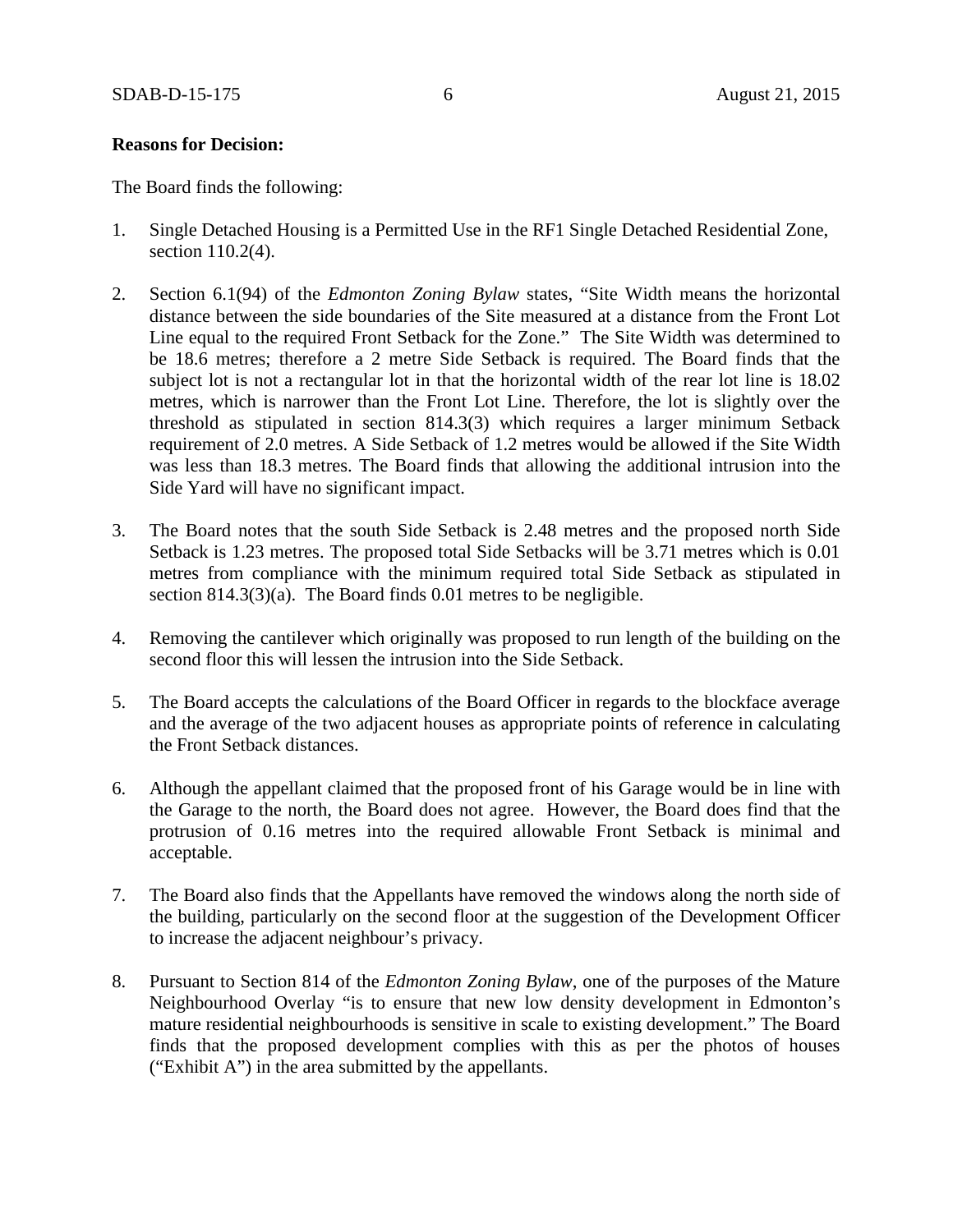#### **Reasons for Decision:**

The Board finds the following:

- 1. Single Detached Housing is a Permitted Use in the RF1 Single Detached Residential Zone, section 110.2(4).
- 2. Section 6.1(94) of the *Edmonton Zoning Bylaw* states, "Site Width means the horizontal distance between the side boundaries of the Site measured at a distance from the Front Lot Line equal to the required Front Setback for the Zone." The Site Width was determined to be 18.6 metres; therefore a 2 metre Side Setback is required. The Board finds that the subject lot is not a rectangular lot in that the horizontal width of the rear lot line is 18.02 metres, which is narrower than the Front Lot Line. Therefore, the lot is slightly over the threshold as stipulated in section 814.3(3) which requires a larger minimum Setback requirement of 2.0 metres. A Side Setback of 1.2 metres would be allowed if the Site Width was less than 18.3 metres. The Board finds that allowing the additional intrusion into the Side Yard will have no significant impact.
- 3. The Board notes that the south Side Setback is 2.48 metres and the proposed north Side Setback is 1.23 metres. The proposed total Side Setbacks will be 3.71 metres which is 0.01 metres from compliance with the minimum required total Side Setback as stipulated in section 814.3(3)(a). The Board finds 0.01 metres to be negligible.
- 4. Removing the cantilever which originally was proposed to run length of the building on the second floor this will lessen the intrusion into the Side Setback.
- 5. The Board accepts the calculations of the Board Officer in regards to the blockface average and the average of the two adjacent houses as appropriate points of reference in calculating the Front Setback distances.
- 6. Although the appellant claimed that the proposed front of his Garage would be in line with the Garage to the north, the Board does not agree. However, the Board does find that the protrusion of 0.16 metres into the required allowable Front Setback is minimal and acceptable.
- 7. The Board also finds that the Appellants have removed the windows along the north side of the building, particularly on the second floor at the suggestion of the Development Officer to increase the adjacent neighbour's privacy.
- 8. Pursuant to Section 814 of the *Edmonton Zoning Bylaw*, one of the purposes of the Mature Neighbourhood Overlay "is to ensure that new low density development in Edmonton's mature residential neighbourhoods is sensitive in scale to existing development." The Board finds that the proposed development complies with this as per the photos of houses ("Exhibit A") in the area submitted by the appellants.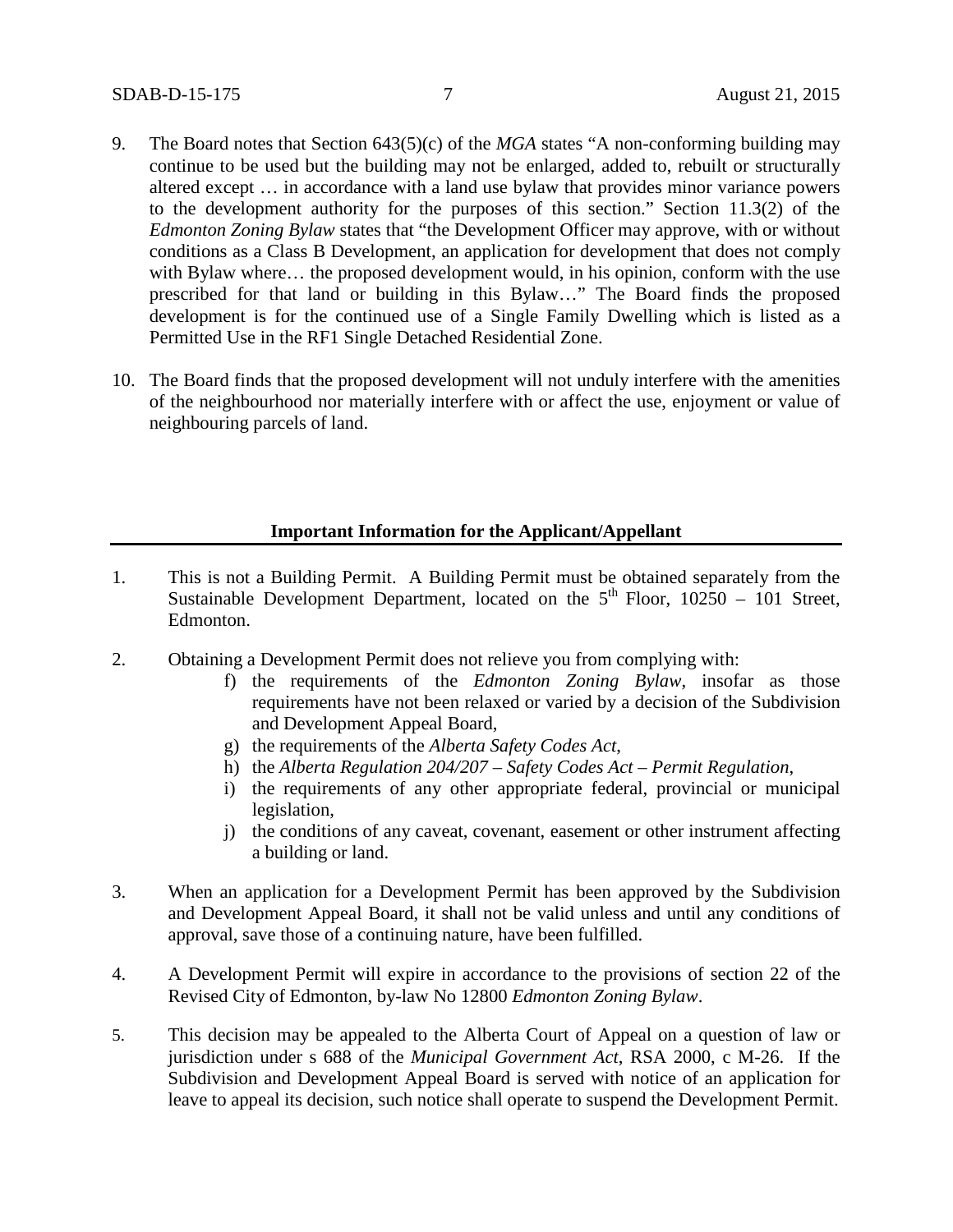- 9. The Board notes that Section 643(5)(c) of the *MGA* states "A non-conforming building may continue to be used but the building may not be enlarged, added to, rebuilt or structurally altered except … in accordance with a land use bylaw that provides minor variance powers to the development authority for the purposes of this section." Section 11.3(2) of the *Edmonton Zoning Bylaw* states that "the Development Officer may approve, with or without conditions as a Class B Development, an application for development that does not comply with Bylaw where... the proposed development would, in his opinion, conform with the use prescribed for that land or building in this Bylaw…" The Board finds the proposed development is for the continued use of a Single Family Dwelling which is listed as a Permitted Use in the RF1 Single Detached Residential Zone.
- 10. The Board finds that the proposed development will not unduly interfere with the amenities of the neighbourhood nor materially interfere with or affect the use, enjoyment or value of neighbouring parcels of land.

#### **Important Information for the Applicant/Appellant**

- 1. This is not a Building Permit. A Building Permit must be obtained separately from the Sustainable Development Department, located on the  $5<sup>th</sup>$  Floor, 10250 – 101 Street, Edmonton.
- 2. Obtaining a Development Permit does not relieve you from complying with:
	- f) the requirements of the *Edmonton Zoning Bylaw*, insofar as those requirements have not been relaxed or varied by a decision of the Subdivision and Development Appeal Board,
	- g) the requirements of the *Alberta Safety Codes Act*,
	- h) the *Alberta Regulation 204/207 – Safety Codes Act – Permit Regulation*,
	- i) the requirements of any other appropriate federal, provincial or municipal legislation,
	- j) the conditions of any caveat, covenant, easement or other instrument affecting a building or land.
- 3. When an application for a Development Permit has been approved by the Subdivision and Development Appeal Board, it shall not be valid unless and until any conditions of approval, save those of a continuing nature, have been fulfilled.
- 4. A Development Permit will expire in accordance to the provisions of section 22 of the Revised City of Edmonton, by-law No 12800 *Edmonton Zoning Bylaw*.
- 5. This decision may be appealed to the Alberta Court of Appeal on a question of law or jurisdiction under s 688 of the *Municipal Government Act*, RSA 2000, c M-26. If the Subdivision and Development Appeal Board is served with notice of an application for leave to appeal its decision, such notice shall operate to suspend the Development Permit.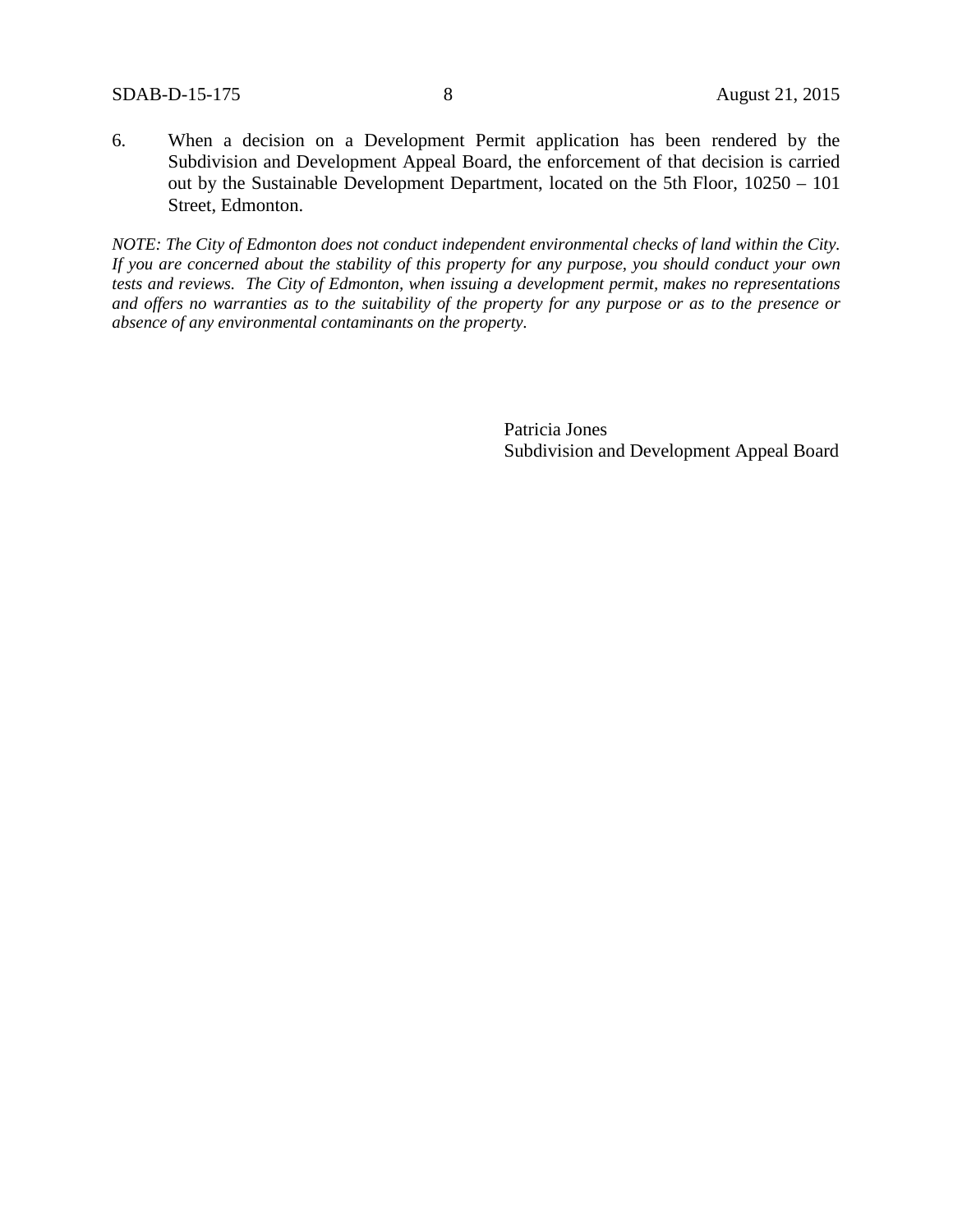6. When a decision on a Development Permit application has been rendered by the Subdivision and Development Appeal Board, the enforcement of that decision is carried out by the Sustainable Development Department, located on the 5th Floor, 10250 – 101 Street, Edmonton.

*NOTE: The City of Edmonton does not conduct independent environmental checks of land within the City. If you are concerned about the stability of this property for any purpose, you should conduct your own tests and reviews. The City of Edmonton, when issuing a development permit, makes no representations and offers no warranties as to the suitability of the property for any purpose or as to the presence or absence of any environmental contaminants on the property.*

> Patricia Jones Subdivision and Development Appeal Board